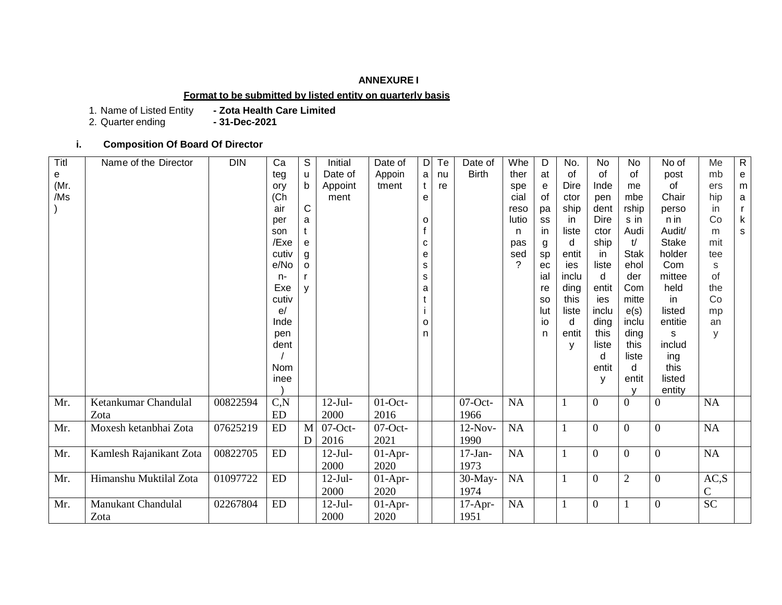## **ANNEXURE I**

## **Format to be submitted by listed entity on quarterly basis**

1. Name of Listed Entity<br>2. Quarter ending

- Zota Health Care Limited<br>- **31-Dec-2021** 

## **i. Composition Of Board Of Director**

| Titl | Name of the Director    | <b>DIN</b> | Ca         | S         | Initial    | Date of    | D | Te | Date of      | Whe   | D         | No.   | No               | No             | No of          | Me              | $\mathsf{R}$                               |
|------|-------------------------|------------|------------|-----------|------------|------------|---|----|--------------|-------|-----------|-------|------------------|----------------|----------------|-----------------|--------------------------------------------|
| e    |                         |            | teg        | u         | Date of    | Appoin     | a | nu | <b>Birth</b> | ther  | at        | of    | of               | of             | post           | mb              | $\mathsf{e}% _{0}\left( \mathsf{e}\right)$ |
| (Mr. |                         |            | ory        | b         | Appoint    | tment      |   | re |              | spe   | e         | Dire  | Inde             | me             | of             | ers             | m                                          |
| /Ms  |                         |            | (Ch)       |           | ment       |            | e |    |              | cial  | 0f        | ctor  | pen              | mbe            | Chair          | hip             | $\mathsf a$                                |
|      |                         |            | air        | ${\bf C}$ |            |            |   |    |              | reso  | pa        | ship  | dent             | rship          | perso          | in              | r                                          |
|      |                         |            | per        | a         |            |            | o |    |              | lutio | SS        | in.   | <b>Dire</b>      | s in           | n in           | Co              | $\mathsf k$                                |
|      |                         |            | son        |           |            |            |   |    |              | n     | in        | liste | ctor             | Audi           | Audit/         | m               | ${\sf s}$                                  |
|      |                         |            | /Exe       | e         |            |            | C |    |              | pas   | g         | d     | ship             | t/             | <b>Stake</b>   | mit             |                                            |
|      |                         |            | cutiv      | g         |            |            | е |    |              | sed   | sp        | entit | -in              | <b>Stak</b>    | holder         | tee             |                                            |
|      |                         |            | e/No       | o         |            |            | S |    |              | ?     | ec        | ies   | liste            | ehol           | Com            | S               |                                            |
|      |                         |            | $n-$       |           |            |            | S |    |              |       | ial       | inclu | d                | der            | mittee         | of              |                                            |
|      |                         |            | Exe        | y         |            |            | a |    |              |       | re        | ding  | entit            | Com            | held           | the             |                                            |
|      |                         |            | cutiv      |           |            |            |   |    |              |       | <b>SO</b> | this  | ies              | mitte          | in             | Co              |                                            |
|      |                         |            | e/         |           |            |            |   |    |              |       | lut       | liste | inclu            | e(s)           | listed         | mp              |                                            |
|      |                         |            | Inde       |           |            |            | o |    |              |       | io        | d     | ding             | inclu          | entitie        | an              |                                            |
|      |                         |            | pen        |           |            |            | n |    |              |       | n         | entit | this             | ding           | s              | y               |                                            |
|      |                         |            | dent       |           |            |            |   |    |              |       |           | V     | liste            | this           | includ         |                 |                                            |
|      |                         |            |            |           |            |            |   |    |              |       |           |       | d                | liste          | ing            |                 |                                            |
|      |                         |            | Nom        |           |            |            |   |    |              |       |           |       | entit            | d              | this           |                 |                                            |
|      |                         |            | inee       |           |            |            |   |    |              |       |           |       | y                | entit          | listed         |                 |                                            |
|      |                         |            |            |           |            |            |   |    |              |       |           |       |                  |                | entity         |                 |                                            |
| Mr.  | Ketankumar Chandulal    | 00822594   | C, N       |           | $12-Jul-$  | $01$ -Oct- |   |    | $07$ -Oct-   | NA    |           | -1    | $\overline{0}$   | $\Omega$       | $\Omega$       | NA              |                                            |
|      | Zota                    |            | ED         |           | 2000       | 2016       |   |    | 1966         |       |           |       |                  |                |                |                 |                                            |
| Mr.  | Moxesh ketanbhai Zota   | 07625219   | ED         | M         | $07$ -Oct- | $07$ -Oct- |   |    | $12-Nov-$    | NA    |           | 1     | $\overline{0}$   | $\Omega$       | $\overline{0}$ | NA              |                                            |
|      |                         |            |            | D         | 2016       | 2021       |   |    | 1990         |       |           |       |                  |                |                |                 |                                            |
| Mr.  | Kamlesh Rajanikant Zota | 00822705   | ED         |           | $12$ -Jul- | $01-Apr-$  |   |    | $17-Ian-$    | NA    |           | 1     | $\overline{0}$   | $\theta$       | $\theta$       | NA              |                                            |
|      |                         |            |            |           | 2000       | 2020       |   |    | 1973         |       |           |       |                  |                |                |                 |                                            |
| Mr.  | Himanshu Muktilal Zota  | 01097722   | ED         |           | $12-Jul-$  | $01-Apr-$  |   |    | 30-May-      | NA    |           | 1     | $\overline{0}$   | $\overline{2}$ | $\overline{0}$ | AC, S           |                                            |
|      |                         |            |            |           | 2000       | 2020       |   |    | 1974         |       |           |       |                  |                |                | $\mathsf{C}$    |                                            |
| Mr.  | Manukant Chandulal      | 02267804   | ${\rm ED}$ |           | $12-Jul-$  | $01-Apr-$  |   |    | $17-Apr-$    | NA    |           |       | $\boldsymbol{0}$ |                | $\Omega$       | $\overline{SC}$ |                                            |
|      | Zota                    |            |            |           | 2000       | 2020       |   |    | 1951         |       |           |       |                  |                |                |                 |                                            |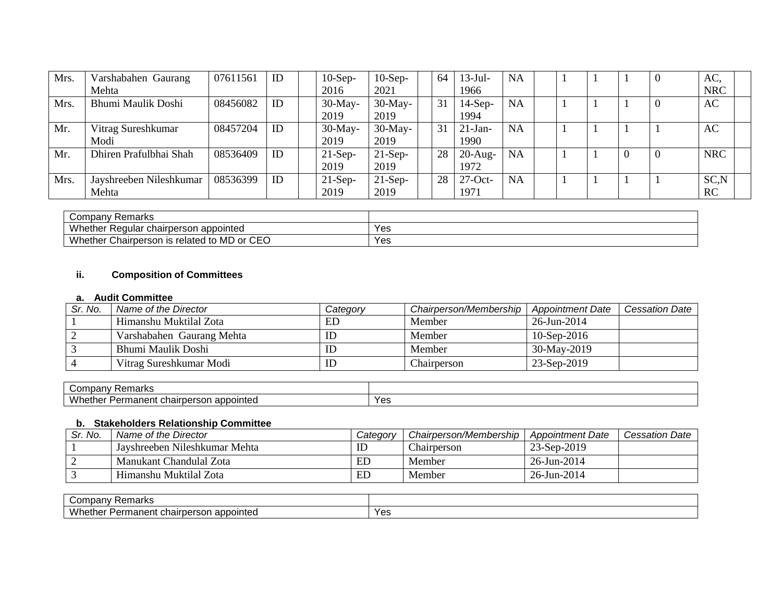| Mrs. | Varshabahen Gaurang     | 07611561 | ID | $10-Sep-$  | $10-Sep-$  | 64 | $13-Jul-$  | <b>NA</b> |  |  |   | AC.        |  |
|------|-------------------------|----------|----|------------|------------|----|------------|-----------|--|--|---|------------|--|
|      | Mehta                   |          |    | 2016       | 2021       |    | 1966       |           |  |  |   | <b>NRC</b> |  |
| Mrs. | Bhumi Maulik Doshi      | 08456082 | ID | $30$ -May- | $30$ -May- | 31 | $14-Sep-$  | <b>NA</b> |  |  |   | AC         |  |
|      |                         |          |    | 2019       | 2019       |    | 1994       |           |  |  |   |            |  |
| Mr.  | Vitrag Sureshkumar      | 08457204 | ID | $30$ -May- | $30$ -May- | 31 | $21-Jan-$  | <b>NA</b> |  |  |   | AC         |  |
|      | Modi                    |          |    | 2019       | 2019       |    | 1990       |           |  |  |   |            |  |
| Mr.  | Dhiren Prafulbhai Shah  | 08536409 | ID | $21-Sep-$  | $21-Sep-$  | 28 | $20$ -Aug- | <b>NA</b> |  |  | v | <b>NRC</b> |  |
|      |                         |          |    | 2019       | 2019       |    | 1972       |           |  |  |   |            |  |
| Mrs. | Jayshreeben Nileshkumar | 08536399 | ID | $21-Sep-$  | $21-Sep-$  | 28 | $27$ -Oct- | <b>NA</b> |  |  |   | SC,N       |  |
|      | Mehta                   |          |    | 2019       | 2019       |    | 1971       |           |  |  |   | <b>RC</b>  |  |

| Compan <sup>®</sup><br>Remarks                                      |     |
|---------------------------------------------------------------------|-----|
| Whether,<br>Regular<br>chairperson<br>appointed                     | Yes |
| I to MD or CEO<br>Whether $\sqrt{ }$<br>Chairperson<br>ı ıs related | Yes |

# **ii. Composition of Committees**

#### **a. Audit Committee**

| Sr. No. | Name of the Director      | Category | Chairperson/Membership | <b>Appointment Date</b> | <b>Cessation Date</b> |
|---------|---------------------------|----------|------------------------|-------------------------|-----------------------|
|         | Himanshu Muktilal Zota    | ED       | Member                 | 26-Jun-2014             |                       |
|         | Varshabahen Gaurang Mehta |          | Member                 | $10-$ Sep $-2016$       |                       |
|         | Bhumi Maulik Doshi        |          | Member                 | 30-May-2019             |                       |
|         | Vitrag Sureshkumar Modi   |          | Chairperson            | 23-Sep-2019             |                       |

| $\sim$<br>…arv<br>$H$ dina<br>$\cdots$<br>ັັ                                                         |                 |
|------------------------------------------------------------------------------------------------------|-----------------|
| <b>ALL</b><br>` <sup>n</sup> ointeu<br>WD.<br>$\sim$<br>ent<br>sor<br>ner<br>าลเท<br>1al<br>וסו<br>. | $V \cap V$<br>౿ |

## **b. Stakeholders Relationship Committee**

| Sr. No. | Name of the Director          | Category | Chairperson/Membership | <b>Appointment Date</b> | <b>Cessation Date</b> |
|---------|-------------------------------|----------|------------------------|-------------------------|-----------------------|
|         | Javshreeben Nileshkumar Mehta | ID       | <b>Chairperson</b>     | 23-Sep-2019             |                       |
|         | Manukant Chandulal Zota       | ED       | Member                 | 26-Jun-2014             |                       |
|         | Himanshu Muktilal Zota        | ED       | Member                 | 26-Jun-2014             |                       |

| Remarks<br>' ompany۔                                        |                           |
|-------------------------------------------------------------|---------------------------|
| Whether.<br>appointed<br><b>Permanent J.</b><br>cnairperson | $V \cap \Omega$<br>⊷<br>౿ |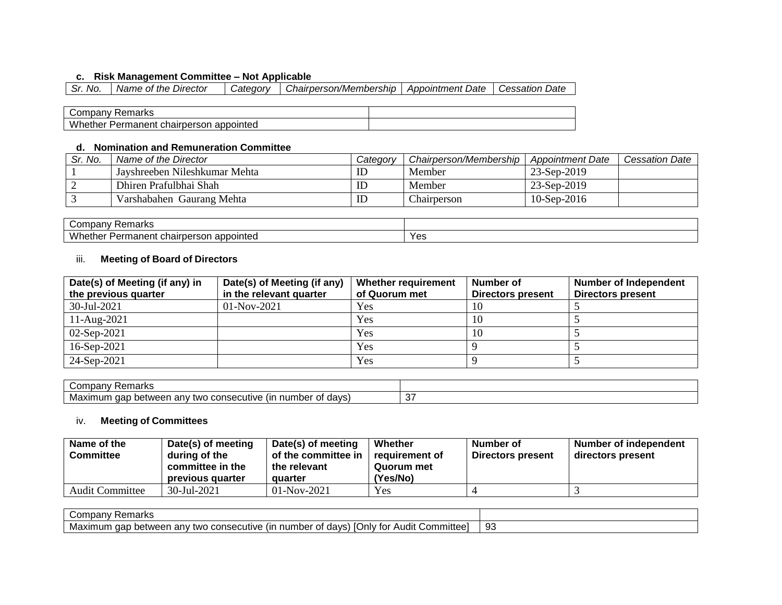## **c. Risk Management Committee – Not Applicable**

| Sr. No. | Name of the Director | Categorv | Chairperson/Membership | <b>Appointment Date</b> | Cessation Date |
|---------|----------------------|----------|------------------------|-------------------------|----------------|
|         |                      |          |                        |                         |                |
|         | Company Pomarko      |          |                        |                         |                |

| `marka<br>$-$<br>∴∩mr<br>. .<br>'iain.                                               |  |
|--------------------------------------------------------------------------------------|--|
| M<br>$-$<br>$     -$<br>naner<br>anno<br>…nair<br>vointea<br>ne<br>بدر،<br>יי ה<br>ື |  |

### **d. Nomination and Remuneration Committee**

| Sr. No. | Name of the Director          | Category | Chairperson/Membership | <b>Appointment Date</b> | Cessation Date |
|---------|-------------------------------|----------|------------------------|-------------------------|----------------|
|         | Javshreeben Nileshkumar Mehta | ID       | Member                 | 23-Sep-2019             |                |
|         | Dhiren Prafulbhai Shah        | ID       | Member                 | 23-Sep-2019             |                |
|         | Varshabahen Gaurang Mehta     | ID       | Chairperson            | 10-Sep-2016             |                |

| -<br><br>~comp<br>$\sim$ morko<br>ПL.<br>' Ildin.                      |      |
|------------------------------------------------------------------------|------|
| Whethe.<br>appointed<br>- -<br>--<br>าลเท<br>ne.<br>панег<br>5UI.<br>. | Yes. |

## iii. **Meeting of Board of Directors**

| Date(s) of Meeting (if any) in | Date(s) of Meeting (if any) | Whether requirement | Number of                | <b>Number of Independent</b> |
|--------------------------------|-----------------------------|---------------------|--------------------------|------------------------------|
| the previous quarter           | in the relevant quarter     | of Quorum met       | <b>Directors present</b> | <b>Directors present</b>     |
| 30-Jul-2021                    | $01-Nov-2021$               | <b>Yes</b>          |                          |                              |
| $11-Aug-2021$                  |                             | Yes                 |                          |                              |
| $02-Sep-2021$                  |                             | Yes                 | 10                       |                              |
| $16-Sep-2021$                  |                             | Yes                 |                          |                              |
| 24-Sep-2021                    |                             | Yes                 |                          |                              |

| ∪ompan<br>. Domarks<br>Remarks                                                                              |        |
|-------------------------------------------------------------------------------------------------------------|--------|
| days<br>nber<br>Max<br>num<br>(Ir<br>etweer<br>conse<br>Jutiv⊆<br>tw∩<br>anv<br>aar<br>.<br><b>70.</b><br>ີ | -<br>ັ |

## iv. **Meeting of Committees**

| Name of the<br>Committee | Date(s) of meeting<br>during of the<br>committee in the<br>previous quarter | Date(s) of meeting<br>of the committee in<br>the relevant<br>quarter | Whether<br>requirement of<br>Quorum met<br>(Yes/No) | Number of<br>Directors present | <b>Number of independent</b><br>directors present |
|--------------------------|-----------------------------------------------------------------------------|----------------------------------------------------------------------|-----------------------------------------------------|--------------------------------|---------------------------------------------------|
| <b>Audit Committee</b>   | 30-Jul-2021                                                                 | $01-Nov-2021$                                                        | <b>Yes</b>                                          |                                |                                                   |

| <sup>.</sup> Remarks<br>Company                                                                                                                   |              |
|---------------------------------------------------------------------------------------------------------------------------------------------------|--------------|
| ;ommittee:<br>.∪nl∨<br>days)<br>consecutive<br>$-+$<br>Maxımum<br>aap<br>. number<br>∵tor .<br>Audit<br>between<br>∟anv<br>(In<br>two<br>vui<br>ິ | $\sim$<br>ູບ |